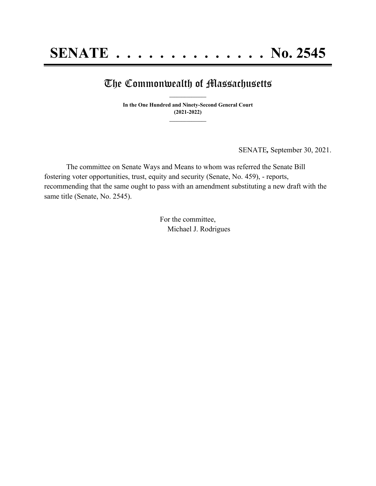## The Commonwealth of Massachusetts **\_\_\_\_\_\_\_\_\_\_\_\_\_\_\_**

**In the One Hundred and Ninety-Second General Court (2021-2022) \_\_\_\_\_\_\_\_\_\_\_\_\_\_\_**

SENATE*,* September 30, 2021.

The committee on Senate Ways and Means to whom was referred the Senate Bill fostering voter opportunities, trust, equity and security (Senate, No. 459), - reports, recommending that the same ought to pass with an amendment substituting a new draft with the same title (Senate, No. 2545).

> For the committee, Michael J. Rodrigues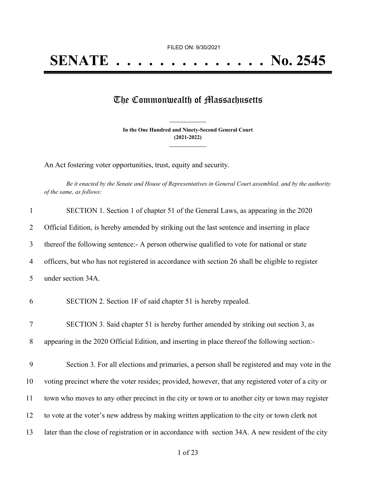## The Commonwealth of Massachusetts

**In the One Hundred and Ninety-Second General Court (2021-2022) \_\_\_\_\_\_\_\_\_\_\_\_\_\_\_**

**\_\_\_\_\_\_\_\_\_\_\_\_\_\_\_**

An Act fostering voter opportunities, trust, equity and security.

Be it enacted by the Senate and House of Representatives in General Court assembled, and by the authority *of the same, as follows:*

| $\mathbf{1}$   | SECTION 1. Section 1 of chapter 51 of the General Laws, as appearing in the 2020                   |
|----------------|----------------------------------------------------------------------------------------------------|
| $\overline{2}$ | Official Edition, is hereby amended by striking out the last sentence and inserting in place       |
| $\mathfrak{Z}$ | thereof the following sentence: A person otherwise qualified to vote for national or state         |
| 4              | officers, but who has not registered in accordance with section 26 shall be eligible to register   |
| 5              | under section 34A.                                                                                 |
| 6              | SECTION 2. Section 1F of said chapter 51 is hereby repealed.                                       |
| $\tau$         | SECTION 3. Said chapter 51 is hereby further amended by striking out section 3, as                 |
| 8              | appearing in the 2020 Official Edition, and inserting in place thereof the following section:      |
| 9              | Section 3. For all elections and primaries, a person shall be registered and may vote in the       |
| 10             | voting precinct where the voter resides; provided, however, that any registered voter of a city or |
| 11             | town who moves to any other precinct in the city or town or to another city or town may register   |
| 12             | to vote at the voter's new address by making written application to the city or town clerk not     |
| 13             | later than the close of registration or in accordance with section 34A. A new resident of the city |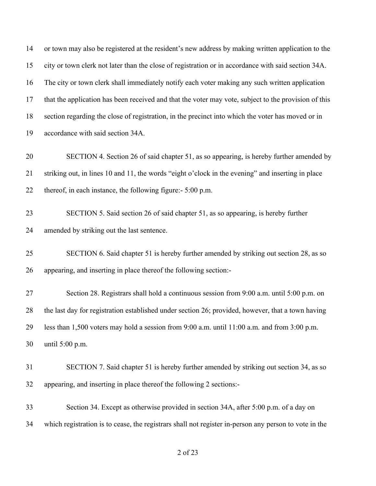or town may also be registered at the resident's new address by making written application to the city or town clerk not later than the close of registration or in accordance with said section 34A. The city or town clerk shall immediately notify each voter making any such written application that the application has been received and that the voter may vote, subject to the provision of this section regarding the close of registration, in the precinct into which the voter has moved or in accordance with said section 34A. SECTION 4. Section 26 of said chapter 51, as so appearing, is hereby further amended by striking out, in lines 10 and 11, the words "eight o'clock in the evening" and inserting in place thereof, in each instance, the following figure:- 5:00 p.m. SECTION 5. Said section 26 of said chapter 51, as so appearing, is hereby further amended by striking out the last sentence. SECTION 6. Said chapter 51 is hereby further amended by striking out section 28, as so appearing, and inserting in place thereof the following section:- Section 28. Registrars shall hold a continuous session from 9:00 a.m. until 5:00 p.m. on the last day for registration established under section 26; provided, however, that a town having less than 1,500 voters may hold a session from 9:00 a.m. until 11:00 a.m. and from 3:00 p.m. until 5:00 p.m. SECTION 7. Said chapter 51 is hereby further amended by striking out section 34, as so appearing, and inserting in place thereof the following 2 sections:- Section 34. Except as otherwise provided in section 34A, after 5:00 p.m. of a day on which registration is to cease, the registrars shall not register in-person any person to vote in the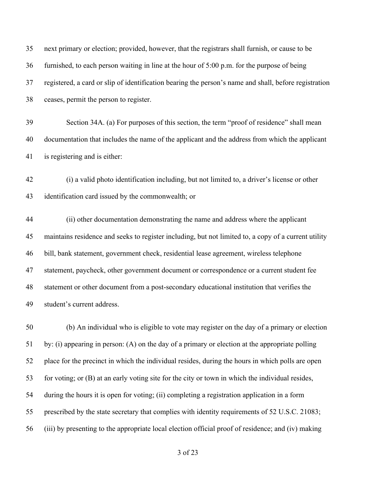| 35 | next primary or election; provided, however, that the registrars shall furnish, or cause to be        |
|----|-------------------------------------------------------------------------------------------------------|
| 36 | furnished, to each person waiting in line at the hour of 5:00 p.m. for the purpose of being           |
| 37 | registered, a card or slip of identification bearing the person's name and shall, before registration |
| 38 | ceases, permit the person to register.                                                                |
| 39 | Section 34A. (a) For purposes of this section, the term "proof of residence" shall mean               |
| 40 | documentation that includes the name of the applicant and the address from which the applicant        |
| 41 | is registering and is either:                                                                         |
| 42 | (i) a valid photo identification including, but not limited to, a driver's license or other           |
| 43 | identification card issued by the commonwealth; or                                                    |
| 44 | (ii) other documentation demonstrating the name and address where the applicant                       |
| 45 | maintains residence and seeks to register including, but not limited to, a copy of a current utility  |
| 46 | bill, bank statement, government check, residential lease agreement, wireless telephone               |
| 47 | statement, paycheck, other government document or correspondence or a current student fee             |
| 48 | statement or other document from a post-secondary educational institution that verifies the           |
| 49 | student's current address.                                                                            |
| 50 | (b) An individual who is eligible to vote may register on the day of a primary or election            |
| 51 | by: (i) appearing in person: (A) on the day of a primary or election at the appropriate polling       |
| 52 | place for the precinct in which the individual resides, during the hours in which polls are open      |

for voting; or (B) at an early voting site for the city or town in which the individual resides,

during the hours it is open for voting; (ii) completing a registration application in a form

prescribed by the state secretary that complies with identity requirements of 52 U.S.C. 21083;

(iii) by presenting to the appropriate local election official proof of residence; and (iv) making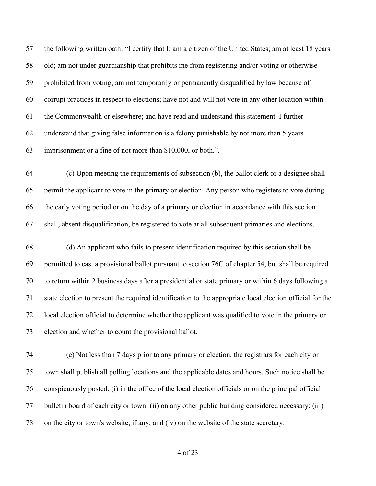the following written oath: "I certify that I: am a citizen of the United States; am at least 18 years old; am not under guardianship that prohibits me from registering and/or voting or otherwise prohibited from voting; am not temporarily or permanently disqualified by law because of corrupt practices in respect to elections; have not and will not vote in any other location within the Commonwealth or elsewhere; and have read and understand this statement. I further understand that giving false information is a felony punishable by not more than 5 years imprisonment or a fine of not more than \$10,000, or both.".

 (c) Upon meeting the requirements of subsection (b), the ballot clerk or a designee shall permit the applicant to vote in the primary or election. Any person who registers to vote during the early voting period or on the day of a primary or election in accordance with this section shall, absent disqualification, be registered to vote at all subsequent primaries and elections.

 (d) An applicant who fails to present identification required by this section shall be permitted to cast a provisional ballot pursuant to section 76C of chapter 54, but shall be required to return within 2 business days after a presidential or state primary or within 6 days following a state election to present the required identification to the appropriate local election official for the local election official to determine whether the applicant was qualified to vote in the primary or election and whether to count the provisional ballot.

 (e) Not less than 7 days prior to any primary or election, the registrars for each city or town shall publish all polling locations and the applicable dates and hours. Such notice shall be conspicuously posted: (i) in the office of the local election officials or on the principal official bulletin board of each city or town; (ii) on any other public building considered necessary; (iii) on the city or town's website, if any; and (iv) on the website of the state secretary.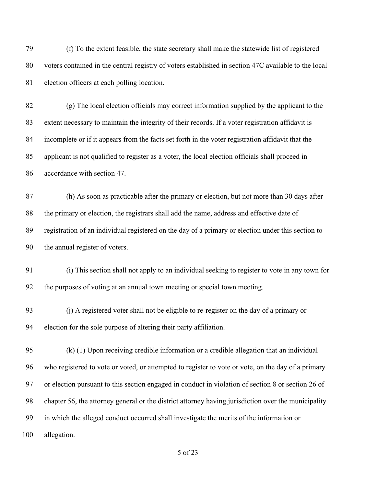(f) To the extent feasible, the state secretary shall make the statewide list of registered voters contained in the central registry of voters established in section 47C available to the local election officers at each polling location.

 (g) The local election officials may correct information supplied by the applicant to the extent necessary to maintain the integrity of their records. If a voter registration affidavit is incomplete or if it appears from the facts set forth in the voter registration affidavit that the applicant is not qualified to register as a voter, the local election officials shall proceed in accordance with section 47.

 (h) As soon as practicable after the primary or election, but not more than 30 days after the primary or election, the registrars shall add the name, address and effective date of registration of an individual registered on the day of a primary or election under this section to the annual register of voters.

 (i) This section shall not apply to an individual seeking to register to vote in any town for the purposes of voting at an annual town meeting or special town meeting.

 (j) A registered voter shall not be eligible to re-register on the day of a primary or election for the sole purpose of altering their party affiliation.

 (k) (1) Upon receiving credible information or a credible allegation that an individual who registered to vote or voted, or attempted to register to vote or vote, on the day of a primary or election pursuant to this section engaged in conduct in violation of section 8 or section 26 of chapter 56, the attorney general or the district attorney having jurisdiction over the municipality in which the alleged conduct occurred shall investigate the merits of the information or allegation.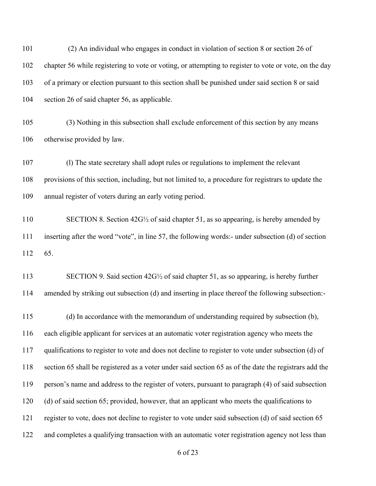(2) An individual who engages in conduct in violation of section 8 or section 26 of chapter 56 while registering to vote or voting, or attempting to register to vote or vote, on the day of a primary or election pursuant to this section shall be punished under said section 8 or said section 26 of said chapter 56, as applicable.

 (3) Nothing in this subsection shall exclude enforcement of this section by any means otherwise provided by law.

 (l) The state secretary shall adopt rules or regulations to implement the relevant provisions of this section, including, but not limited to, a procedure for registrars to update the annual register of voters during an early voting period.

 SECTION 8. Section 42G½ of said chapter 51, as so appearing, is hereby amended by inserting after the word "vote", in line 57, the following words:- under subsection (d) of section 65.

 SECTION 9. Said section 42G½ of said chapter 51, as so appearing, is hereby further amended by striking out subsection (d) and inserting in place thereof the following subsection:-

 (d) In accordance with the memorandum of understanding required by subsection (b), each eligible applicant for services at an automatic voter registration agency who meets the qualifications to register to vote and does not decline to register to vote under subsection (d) of section 65 shall be registered as a voter under said section 65 as of the date the registrars add the person's name and address to the register of voters, pursuant to paragraph (4) of said subsection (d) of said section 65; provided, however, that an applicant who meets the qualifications to register to vote, does not decline to register to vote under said subsection (d) of said section 65 and completes a qualifying transaction with an automatic voter registration agency not less than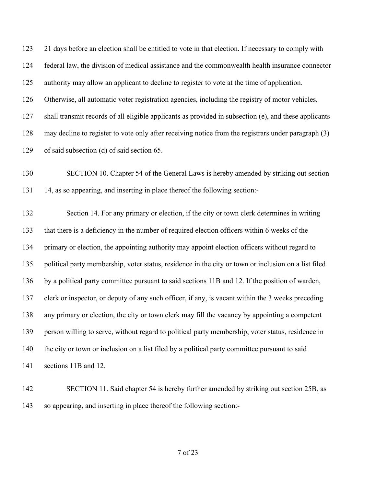21 days before an election shall be entitled to vote in that election. If necessary to comply with federal law, the division of medical assistance and the commonwealth health insurance connector authority may allow an applicant to decline to register to vote at the time of application. Otherwise, all automatic voter registration agencies, including the registry of motor vehicles, shall transmit records of all eligible applicants as provided in subsection (e), and these applicants may decline to register to vote only after receiving notice from the registrars under paragraph (3) of said subsection (d) of said section 65.

 SECTION 10. Chapter 54 of the General Laws is hereby amended by striking out section 14, as so appearing, and inserting in place thereof the following section:-

 Section 14. For any primary or election, if the city or town clerk determines in writing that there is a deficiency in the number of required election officers within 6 weeks of the primary or election, the appointing authority may appoint election officers without regard to political party membership, voter status, residence in the city or town or inclusion on a list filed by a political party committee pursuant to said sections 11B and 12. If the position of warden, clerk or inspector, or deputy of any such officer, if any, is vacant within the 3 weeks preceding any primary or election, the city or town clerk may fill the vacancy by appointing a competent person willing to serve, without regard to political party membership, voter status, residence in 140 the city or town or inclusion on a list filed by a political party committee pursuant to said sections 11B and 12.

 SECTION 11. Said chapter 54 is hereby further amended by striking out section 25B, as so appearing, and inserting in place thereof the following section:-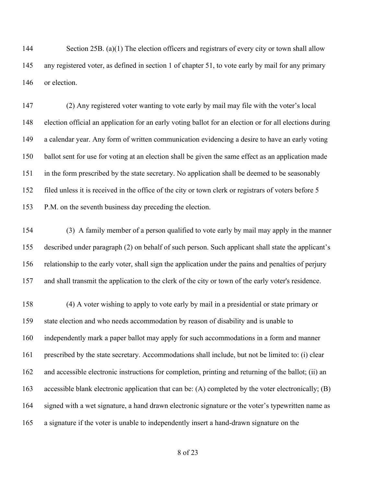144 Section 25B. (a)(1) The election officers and registrars of every city or town shall allow any registered voter, as defined in section 1 of chapter 51, to vote early by mail for any primary or election.

 (2) Any registered voter wanting to vote early by mail may file with the voter's local election official an application for an early voting ballot for an election or for all elections during a calendar year. Any form of written communication evidencing a desire to have an early voting ballot sent for use for voting at an election shall be given the same effect as an application made in the form prescribed by the state secretary. No application shall be deemed to be seasonably filed unless it is received in the office of the city or town clerk or registrars of voters before 5 P.M. on the seventh business day preceding the election.

 (3) A family member of a person qualified to vote early by mail may apply in the manner described under paragraph (2) on behalf of such person. Such applicant shall state the applicant's relationship to the early voter, shall sign the application under the pains and penalties of perjury and shall transmit the application to the clerk of the city or town of the early voter's residence.

 (4) A voter wishing to apply to vote early by mail in a presidential or state primary or state election and who needs accommodation by reason of disability and is unable to independently mark a paper ballot may apply for such accommodations in a form and manner prescribed by the state secretary. Accommodations shall include, but not be limited to: (i) clear and accessible electronic instructions for completion, printing and returning of the ballot; (ii) an accessible blank electronic application that can be: (A) completed by the voter electronically; (B) signed with a wet signature, a hand drawn electronic signature or the voter's typewritten name as a signature if the voter is unable to independently insert a hand-drawn signature on the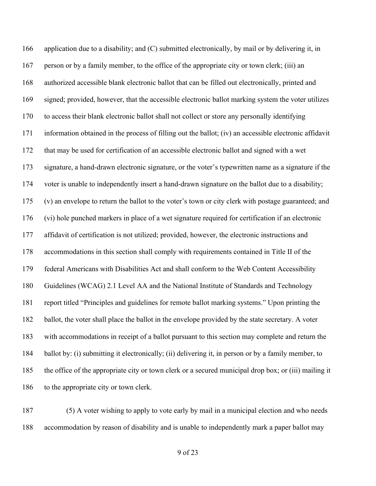application due to a disability; and (C) submitted electronically, by mail or by delivering it, in person or by a family member, to the office of the appropriate city or town clerk; (iii) an authorized accessible blank electronic ballot that can be filled out electronically, printed and signed; provided, however, that the accessible electronic ballot marking system the voter utilizes to access their blank electronic ballot shall not collect or store any personally identifying information obtained in the process of filling out the ballot; (iv) an accessible electronic affidavit that may be used for certification of an accessible electronic ballot and signed with a wet signature, a hand-drawn electronic signature, or the voter's typewritten name as a signature if the voter is unable to independently insert a hand-drawn signature on the ballot due to a disability; (v) an envelope to return the ballot to the voter's town or city clerk with postage guaranteed; and (vi) hole punched markers in place of a wet signature required for certification if an electronic affidavit of certification is not utilized; provided, however, the electronic instructions and accommodations in this section shall comply with requirements contained in Title II of the federal Americans with Disabilities Act and shall conform to the Web Content Accessibility Guidelines (WCAG) 2.1 Level AA and the National Institute of Standards and Technology report titled "Principles and guidelines for remote ballot marking systems." Upon printing the ballot, the voter shall place the ballot in the envelope provided by the state secretary. A voter with accommodations in receipt of a ballot pursuant to this section may complete and return the ballot by: (i) submitting it electronically; (ii) delivering it, in person or by a family member, to the office of the appropriate city or town clerk or a secured municipal drop box; or (iii) mailing it 186 to the appropriate city or town clerk.

 (5) A voter wishing to apply to vote early by mail in a municipal election and who needs accommodation by reason of disability and is unable to independently mark a paper ballot may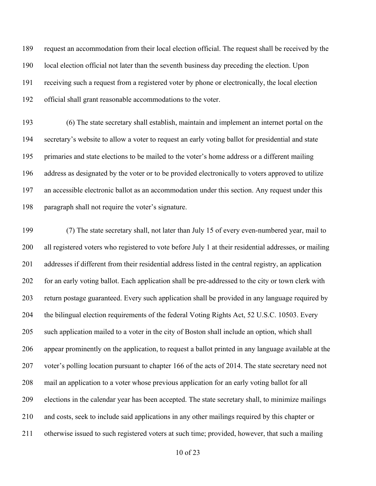request an accommodation from their local election official. The request shall be received by the local election official not later than the seventh business day preceding the election. Upon receiving such a request from a registered voter by phone or electronically, the local election official shall grant reasonable accommodations to the voter.

 (6) The state secretary shall establish, maintain and implement an internet portal on the secretary's website to allow a voter to request an early voting ballot for presidential and state primaries and state elections to be mailed to the voter's home address or a different mailing address as designated by the voter or to be provided electronically to voters approved to utilize an accessible electronic ballot as an accommodation under this section. Any request under this paragraph shall not require the voter's signature.

 (7) The state secretary shall, not later than July 15 of every even-numbered year, mail to all registered voters who registered to vote before July 1 at their residential addresses, or mailing addresses if different from their residential address listed in the central registry, an application for an early voting ballot. Each application shall be pre-addressed to the city or town clerk with return postage guaranteed. Every such application shall be provided in any language required by the bilingual election requirements of the federal Voting Rights Act, 52 U.S.C. 10503. Every such application mailed to a voter in the city of Boston shall include an option, which shall appear prominently on the application, to request a ballot printed in any language available at the voter's polling location pursuant to chapter 166 of the acts of 2014. The state secretary need not mail an application to a voter whose previous application for an early voting ballot for all elections in the calendar year has been accepted. The state secretary shall, to minimize mailings and costs, seek to include said applications in any other mailings required by this chapter or otherwise issued to such registered voters at such time; provided, however, that such a mailing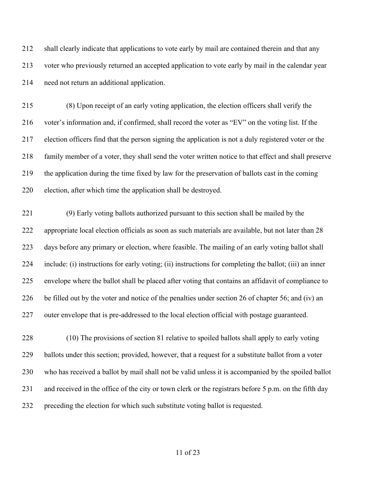shall clearly indicate that applications to vote early by mail are contained therein and that any voter who previously returned an accepted application to vote early by mail in the calendar year need not return an additional application.

 (8) Upon receipt of an early voting application, the election officers shall verify the voter's information and, if confirmed, shall record the voter as "EV" on the voting list. If the election officers find that the person signing the application is not a duly registered voter or the family member of a voter, they shall send the voter written notice to that effect and shall preserve the application during the time fixed by law for the preservation of ballots cast in the coming election, after which time the application shall be destroyed.

 (9) Early voting ballots authorized pursuant to this section shall be mailed by the appropriate local election officials as soon as such materials are available, but not later than 28 days before any primary or election, where feasible. The mailing of an early voting ballot shall include: (i) instructions for early voting; (ii) instructions for completing the ballot; (iii) an inner envelope where the ballot shall be placed after voting that contains an affidavit of compliance to be filled out by the voter and notice of the penalties under section 26 of chapter 56; and (iv) an outer envelope that is pre-addressed to the local election official with postage guaranteed.

 (10) The provisions of section 81 relative to spoiled ballots shall apply to early voting ballots under this section; provided, however, that a request for a substitute ballot from a voter who has received a ballot by mail shall not be valid unless it is accompanied by the spoiled ballot and received in the office of the city or town clerk or the registrars before 5 p.m. on the fifth day preceding the election for which such substitute voting ballot is requested.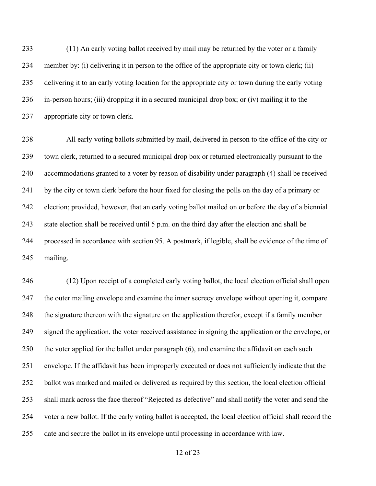(11) An early voting ballot received by mail may be returned by the voter or a family member by: (i) delivering it in person to the office of the appropriate city or town clerk; (ii) delivering it to an early voting location for the appropriate city or town during the early voting in-person hours; (iii) dropping it in a secured municipal drop box; or (iv) mailing it to the appropriate city or town clerk.

 All early voting ballots submitted by mail, delivered in person to the office of the city or town clerk, returned to a secured municipal drop box or returned electronically pursuant to the accommodations granted to a voter by reason of disability under paragraph (4) shall be received by the city or town clerk before the hour fixed for closing the polls on the day of a primary or election; provided, however, that an early voting ballot mailed on or before the day of a biennial state election shall be received until 5 p.m. on the third day after the election and shall be processed in accordance with section 95. A postmark, if legible, shall be evidence of the time of mailing.

 (12) Upon receipt of a completed early voting ballot, the local election official shall open the outer mailing envelope and examine the inner secrecy envelope without opening it, compare the signature thereon with the signature on the application therefor, except if a family member signed the application, the voter received assistance in signing the application or the envelope, or the voter applied for the ballot under paragraph (6), and examine the affidavit on each such envelope. If the affidavit has been improperly executed or does not sufficiently indicate that the ballot was marked and mailed or delivered as required by this section, the local election official shall mark across the face thereof "Rejected as defective" and shall notify the voter and send the voter a new ballot. If the early voting ballot is accepted, the local election official shall record the date and secure the ballot in its envelope until processing in accordance with law.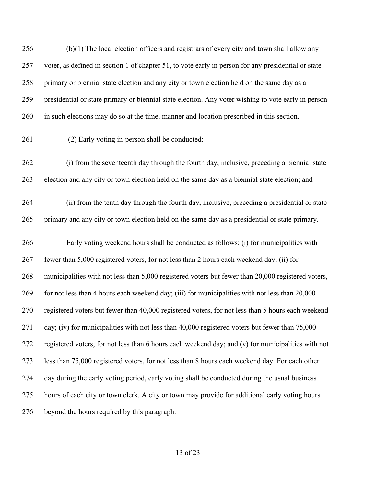(b)(1) The local election officers and registrars of every city and town shall allow any voter, as defined in section 1 of chapter 51, to vote early in person for any presidential or state primary or biennial state election and any city or town election held on the same day as a presidential or state primary or biennial state election. Any voter wishing to vote early in person in such elections may do so at the time, manner and location prescribed in this section.

(2) Early voting in-person shall be conducted:

 (i) from the seventeenth day through the fourth day, inclusive, preceding a biennial state election and any city or town election held on the same day as a biennial state election; and

 (ii) from the tenth day through the fourth day, inclusive, preceding a presidential or state primary and any city or town election held on the same day as a presidential or state primary.

 Early voting weekend hours shall be conducted as follows: (i) for municipalities with fewer than 5,000 registered voters, for not less than 2 hours each weekend day; (ii) for municipalities with not less than 5,000 registered voters but fewer than 20,000 registered voters, for not less than 4 hours each weekend day; (iii) for municipalities with not less than 20,000 registered voters but fewer than 40,000 registered voters, for not less than 5 hours each weekend day; (iv) for municipalities with not less than 40,000 registered voters but fewer than 75,000 registered voters, for not less than 6 hours each weekend day; and (v) for municipalities with not less than 75,000 registered voters, for not less than 8 hours each weekend day. For each other day during the early voting period, early voting shall be conducted during the usual business hours of each city or town clerk. A city or town may provide for additional early voting hours beyond the hours required by this paragraph.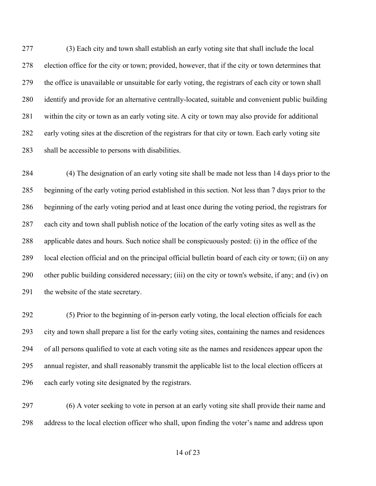(3) Each city and town shall establish an early voting site that shall include the local election office for the city or town; provided, however, that if the city or town determines that the office is unavailable or unsuitable for early voting, the registrars of each city or town shall identify and provide for an alternative centrally-located, suitable and convenient public building within the city or town as an early voting site. A city or town may also provide for additional early voting sites at the discretion of the registrars for that city or town. Each early voting site shall be accessible to persons with disabilities.

 (4) The designation of an early voting site shall be made not less than 14 days prior to the beginning of the early voting period established in this section. Not less than 7 days prior to the beginning of the early voting period and at least once during the voting period, the registrars for each city and town shall publish notice of the location of the early voting sites as well as the applicable dates and hours. Such notice shall be conspicuously posted: (i) in the office of the local election official and on the principal official bulletin board of each city or town; (ii) on any other public building considered necessary; (iii) on the city or town's website, if any; and (iv) on 291 the website of the state secretary.

 (5) Prior to the beginning of in-person early voting, the local election officials for each city and town shall prepare a list for the early voting sites, containing the names and residences of all persons qualified to vote at each voting site as the names and residences appear upon the annual register, and shall reasonably transmit the applicable list to the local election officers at each early voting site designated by the registrars.

 (6) A voter seeking to vote in person at an early voting site shall provide their name and address to the local election officer who shall, upon finding the voter's name and address upon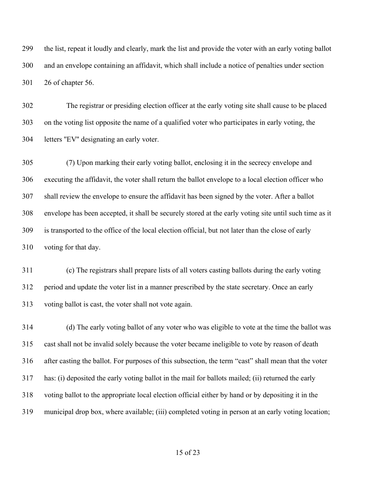the list, repeat it loudly and clearly, mark the list and provide the voter with an early voting ballot and an envelope containing an affidavit, which shall include a notice of penalties under section 26 of chapter 56.

 The registrar or presiding election officer at the early voting site shall cause to be placed on the voting list opposite the name of a qualified voter who participates in early voting, the letters ''EV'' designating an early voter.

 (7) Upon marking their early voting ballot, enclosing it in the secrecy envelope and executing the affidavit, the voter shall return the ballot envelope to a local election officer who shall review the envelope to ensure the affidavit has been signed by the voter. After a ballot envelope has been accepted, it shall be securely stored at the early voting site until such time as it is transported to the office of the local election official, but not later than the close of early voting for that day.

 (c) The registrars shall prepare lists of all voters casting ballots during the early voting period and update the voter list in a manner prescribed by the state secretary. Once an early voting ballot is cast, the voter shall not vote again.

 (d) The early voting ballot of any voter who was eligible to vote at the time the ballot was cast shall not be invalid solely because the voter became ineligible to vote by reason of death after casting the ballot. For purposes of this subsection, the term "cast" shall mean that the voter has: (i) deposited the early voting ballot in the mail for ballots mailed; (ii) returned the early voting ballot to the appropriate local election official either by hand or by depositing it in the municipal drop box, where available; (iii) completed voting in person at an early voting location;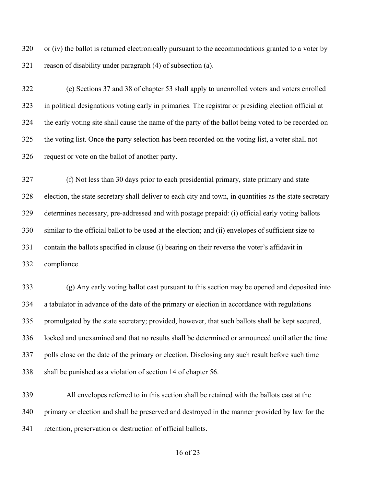or (iv) the ballot is returned electronically pursuant to the accommodations granted to a voter by reason of disability under paragraph (4) of subsection (a).

 (e) Sections 37 and 38 of chapter 53 shall apply to unenrolled voters and voters enrolled in political designations voting early in primaries. The registrar or presiding election official at the early voting site shall cause the name of the party of the ballot being voted to be recorded on the voting list. Once the party selection has been recorded on the voting list, a voter shall not request or vote on the ballot of another party.

 (f) Not less than 30 days prior to each presidential primary, state primary and state election, the state secretary shall deliver to each city and town, in quantities as the state secretary determines necessary, pre-addressed and with postage prepaid: (i) official early voting ballots similar to the official ballot to be used at the election; and (ii) envelopes of sufficient size to contain the ballots specified in clause (i) bearing on their reverse the voter's affidavit in compliance.

 (g) Any early voting ballot cast pursuant to this section may be opened and deposited into a tabulator in advance of the date of the primary or election in accordance with regulations promulgated by the state secretary; provided, however, that such ballots shall be kept secured, locked and unexamined and that no results shall be determined or announced until after the time polls close on the date of the primary or election. Disclosing any such result before such time shall be punished as a violation of section 14 of chapter 56.

 All envelopes referred to in this section shall be retained with the ballots cast at the primary or election and shall be preserved and destroyed in the manner provided by law for the retention, preservation or destruction of official ballots.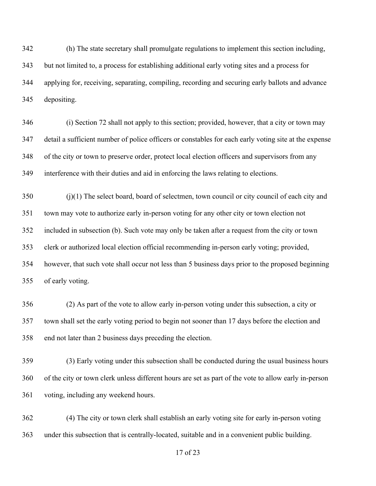(h) The state secretary shall promulgate regulations to implement this section including, but not limited to, a process for establishing additional early voting sites and a process for applying for, receiving, separating, compiling, recording and securing early ballots and advance depositing.

 (i) Section 72 shall not apply to this section; provided, however, that a city or town may detail a sufficient number of police officers or constables for each early voting site at the expense of the city or town to preserve order, protect local election officers and supervisors from any interference with their duties and aid in enforcing the laws relating to elections.

 (j)(1) The select board, board of selectmen, town council or city council of each city and town may vote to authorize early in-person voting for any other city or town election not included in subsection (b). Such vote may only be taken after a request from the city or town clerk or authorized local election official recommending in-person early voting; provided, however, that such vote shall occur not less than 5 business days prior to the proposed beginning of early voting.

 (2) As part of the vote to allow early in-person voting under this subsection, a city or town shall set the early voting period to begin not sooner than 17 days before the election and end not later than 2 business days preceding the election.

 (3) Early voting under this subsection shall be conducted during the usual business hours of the city or town clerk unless different hours are set as part of the vote to allow early in-person voting, including any weekend hours.

 (4) The city or town clerk shall establish an early voting site for early in-person voting under this subsection that is centrally-located, suitable and in a convenient public building.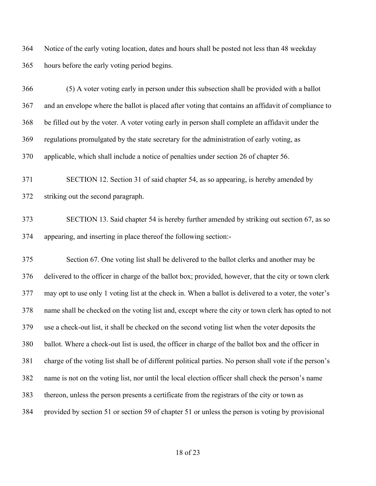Notice of the early voting location, dates and hours shall be posted not less than 48 weekday hours before the early voting period begins.

 (5) A voter voting early in person under this subsection shall be provided with a ballot and an envelope where the ballot is placed after voting that contains an affidavit of compliance to be filled out by the voter. A voter voting early in person shall complete an affidavit under the regulations promulgated by the state secretary for the administration of early voting, as applicable, which shall include a notice of penalties under section 26 of chapter 56.

 SECTION 12. Section 31 of said chapter 54, as so appearing, is hereby amended by striking out the second paragraph.

 SECTION 13. Said chapter 54 is hereby further amended by striking out section 67, as so appearing, and inserting in place thereof the following section:-

 Section 67. One voting list shall be delivered to the ballot clerks and another may be delivered to the officer in charge of the ballot box; provided, however, that the city or town clerk may opt to use only 1 voting list at the check in. When a ballot is delivered to a voter, the voter's name shall be checked on the voting list and, except where the city or town clerk has opted to not use a check-out list, it shall be checked on the second voting list when the voter deposits the ballot. Where a check-out list is used, the officer in charge of the ballot box and the officer in charge of the voting list shall be of different political parties. No person shall vote if the person's name is not on the voting list, nor until the local election officer shall check the person's name thereon, unless the person presents a certificate from the registrars of the city or town as provided by section 51 or section 59 of chapter 51 or unless the person is voting by provisional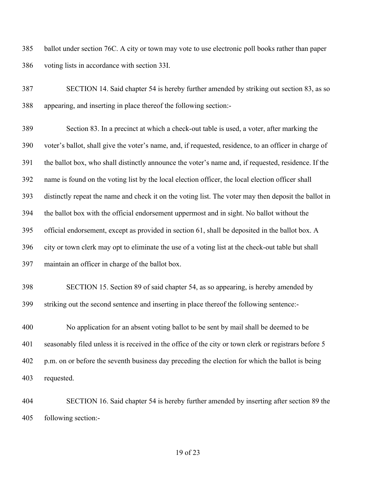ballot under section 76C. A city or town may vote to use electronic poll books rather than paper voting lists in accordance with section 33I.

 SECTION 14. Said chapter 54 is hereby further amended by striking out section 83, as so appearing, and inserting in place thereof the following section:-

 Section 83. In a precinct at which a check-out table is used, a voter, after marking the voter's ballot, shall give the voter's name, and, if requested, residence, to an officer in charge of the ballot box, who shall distinctly announce the voter's name and, if requested, residence. If the name is found on the voting list by the local election officer, the local election officer shall distinctly repeat the name and check it on the voting list. The voter may then deposit the ballot in the ballot box with the official endorsement uppermost and in sight. No ballot without the official endorsement, except as provided in section 61, shall be deposited in the ballot box. A city or town clerk may opt to eliminate the use of a voting list at the check-out table but shall maintain an officer in charge of the ballot box.

 SECTION 15. Section 89 of said chapter 54, as so appearing, is hereby amended by striking out the second sentence and inserting in place thereof the following sentence:-

 No application for an absent voting ballot to be sent by mail shall be deemed to be seasonably filed unless it is received in the office of the city or town clerk or registrars before 5 p.m. on or before the seventh business day preceding the election for which the ballot is being requested.

 SECTION 16. Said chapter 54 is hereby further amended by inserting after section 89 the following section:-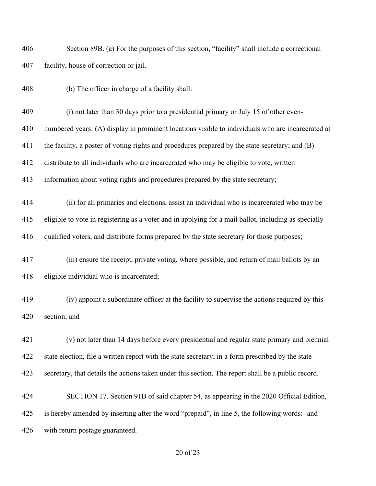Section 89B. (a) For the purposes of this section, "facility" shall include a correctional facility, house of correction or jail.

(b) The officer in charge of a facility shall:

(i) not later than 30 days prior to a presidential primary or July 15 of other even-

numbered years: (A) display in prominent locations visible to individuals who are incarcerated at

the facility, a poster of voting rights and procedures prepared by the state secretary; and (B)

distribute to all individuals who are incarcerated who may be eligible to vote, written

information about voting rights and procedures prepared by the state secretary;

 (ii) for all primaries and elections, assist an individual who is incarcerated who may be eligible to vote in registering as a voter and in applying for a mail ballot, including as specially qualified voters, and distribute forms prepared by the state secretary for those purposes;

 (iii) ensure the receipt, private voting, where possible, and return of mail ballots by an eligible individual who is incarcerated;

 (iv) appoint a subordinate officer at the facility to supervise the actions required by this section; and

 (v) not later than 14 days before every presidential and regular state primary and biennial state election, file a written report with the state secretary, in a form prescribed by the state secretary, that details the actions taken under this section. The report shall be a public record.

 SECTION 17. Section 91B of said chapter 54, as appearing in the 2020 Official Edition, is hereby amended by inserting after the word "prepaid", in line 5, the following words:- and with return postage guaranteed.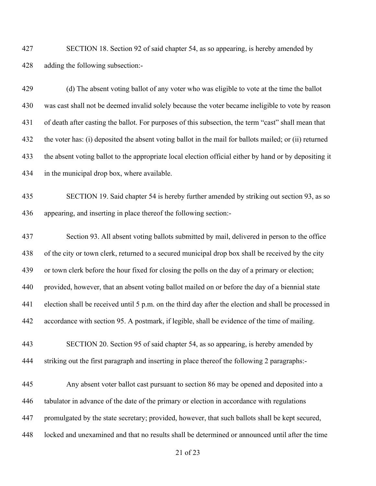SECTION 18. Section 92 of said chapter 54, as so appearing, is hereby amended by adding the following subsection:-

 (d) The absent voting ballot of any voter who was eligible to vote at the time the ballot was cast shall not be deemed invalid solely because the voter became ineligible to vote by reason of death after casting the ballot. For purposes of this subsection, the term "cast" shall mean that the voter has: (i) deposited the absent voting ballot in the mail for ballots mailed; or (ii) returned the absent voting ballot to the appropriate local election official either by hand or by depositing it in the municipal drop box, where available.

 SECTION 19. Said chapter 54 is hereby further amended by striking out section 93, as so appearing, and inserting in place thereof the following section:-

 Section 93. All absent voting ballots submitted by mail, delivered in person to the office of the city or town clerk, returned to a secured municipal drop box shall be received by the city or town clerk before the hour fixed for closing the polls on the day of a primary or election; provided, however, that an absent voting ballot mailed on or before the day of a biennial state election shall be received until 5 p.m. on the third day after the election and shall be processed in accordance with section 95. A postmark, if legible, shall be evidence of the time of mailing.

 SECTION 20. Section 95 of said chapter 54, as so appearing, is hereby amended by striking out the first paragraph and inserting in place thereof the following 2 paragraphs:-

 Any absent voter ballot cast pursuant to section 86 may be opened and deposited into a tabulator in advance of the date of the primary or election in accordance with regulations promulgated by the state secretary; provided, however, that such ballots shall be kept secured, locked and unexamined and that no results shall be determined or announced until after the time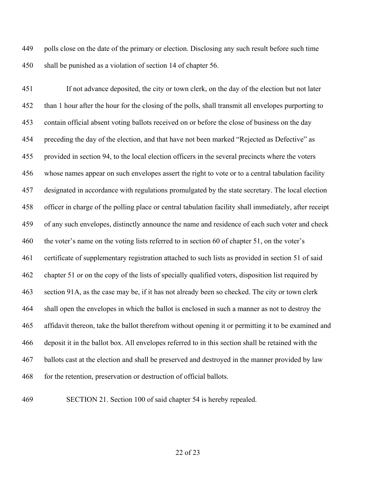polls close on the date of the primary or election. Disclosing any such result before such time shall be punished as a violation of section 14 of chapter 56.

 If not advance deposited, the city or town clerk, on the day of the election but not later than 1 hour after the hour for the closing of the polls, shall transmit all envelopes purporting to contain official absent voting ballots received on or before the close of business on the day preceding the day of the election, and that have not been marked "Rejected as Defective" as provided in section 94, to the local election officers in the several precincts where the voters whose names appear on such envelopes assert the right to vote or to a central tabulation facility designated in accordance with regulations promulgated by the state secretary. The local election officer in charge of the polling place or central tabulation facility shall immediately, after receipt of any such envelopes, distinctly announce the name and residence of each such voter and check the voter's name on the voting lists referred to in section 60 of chapter 51, on the voter's certificate of supplementary registration attached to such lists as provided in section 51 of said chapter 51 or on the copy of the lists of specially qualified voters, disposition list required by section 91A, as the case may be, if it has not already been so checked. The city or town clerk shall open the envelopes in which the ballot is enclosed in such a manner as not to destroy the affidavit thereon, take the ballot therefrom without opening it or permitting it to be examined and deposit it in the ballot box. All envelopes referred to in this section shall be retained with the ballots cast at the election and shall be preserved and destroyed in the manner provided by law for the retention, preservation or destruction of official ballots.

SECTION 21. Section 100 of said chapter 54 is hereby repealed.